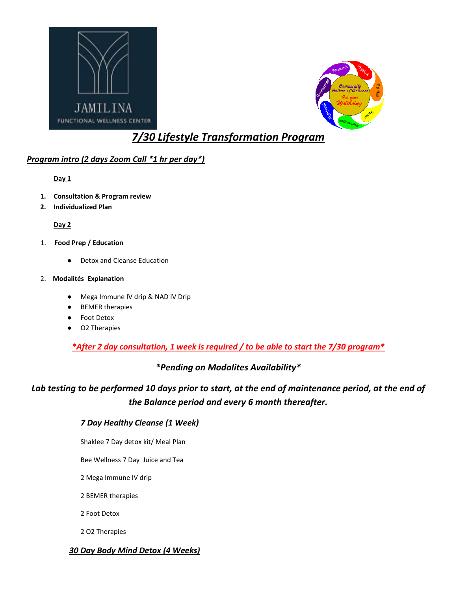



# *7/30 Lifestyle Transformation Program*

## *Program intro (2 days Zoom Call \*1 hr per day\*)*

**Day 1**

- **1. Consultation & Program review**
- **2. Individualized Plan**

#### **Day 2**

- 1. **Food Prep / Education** 
	- Detox and Cleanse Education

#### 2. **Modalités Explanation**

- Mega Immune IV drip & NAD IV Drip
- BEMER therapies
- Foot Detox
- O2 Therapies

*\*After 2 day consultation, 1 week is required / to be able to start the 7/30 program\**

## *\*Pending on Modalites Availability\**

*Lab testing to be performed 10 days prior to start, at the end of maintenance period, at the end of the Balance period and every 6 month thereafter.*

#### *7 Day Healthy Cleanse (1 Week)*

Shaklee 7 Day detox kit/ Meal Plan

Bee Wellness 7 Day Juice and Tea

2 Mega Immune IV drip

2 BEMER therapies

2 Foot Detox

2 O2 Therapies

#### *30 Day Body Mind Detox (4 Weeks)*